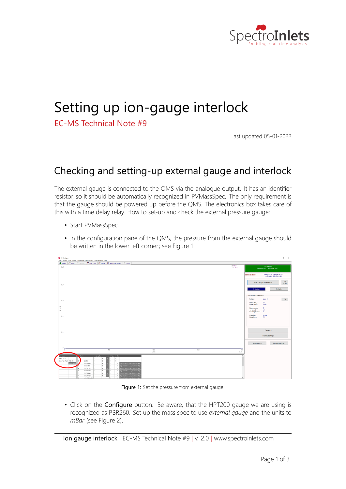

## Setting up ion‐gauge interlock

EC‐MS Technical Note #9

last updated 05‐01‐2022

## Checking and setting‐up external gauge and interlock

The external gauge is connected to the QMS via the analogue output. It has an identifier resistor, so it should be automatically recognized in PVMassSpec. The only requirement is that the gauge should be powered up before the QMS. The electronics box takes care of this with a time delay relay. How to set-up and check the external pressure gauge:

- Start PVMassSpec.
- In the configuration pane of the QMS, the pressure from the external gauge should be written in the lower left corner; see Figure 1



Figure 1: Set the pressure from external gauge.

• Click on the Configure button. Be aware, that the HPT200 gauge we are using is recognized as PBR260. Set up the mass spec to use *external gauge* and the units to *mBar* (see Figure 2).

Ion gauge interlock *|* EC‐MS Technical Note #9 *|* v. 2.0 *|* www.spectroinlets.com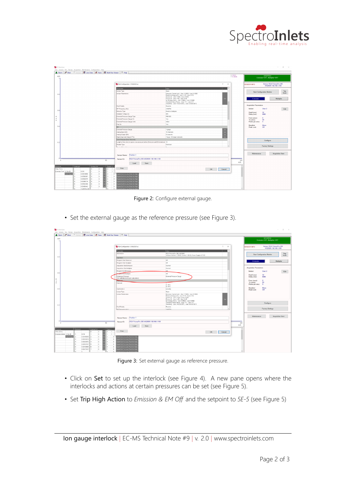

| <b>PV MassSpec</b>                                                                                                                |                                                                                 |                                                                                                                                                                                                                                                                                                                      |                               | $\sigma$<br>$~\times$<br>$\sim$                                          |
|-----------------------------------------------------------------------------------------------------------------------------------|---------------------------------------------------------------------------------|----------------------------------------------------------------------------------------------------------------------------------------------------------------------------------------------------------------------------------------------------------------------------------------------------------------------|-------------------------------|--------------------------------------------------------------------------|
| User Screens Run Recipe Acquisition Maintenance Configuration Help                                                                |                                                                                 |                                                                                                                                                                                                                                                                                                                      |                               |                                                                          |
| Sensor <b>22 Live Data</b>   LE Runs   EE Multi Run Viewer   ? Help<br>A Narm P Main<br>auto.<br>$-14$                            |                                                                                 |                                                                                                                                                                                                                                                                                                                      | $\times 200.81$<br>Y: 0.25408 | <b>STOPPED</b><br>Emission=OFF, Multiplier=OFF                           |
|                                                                                                                                   | RGA Configuration (V18.05.05-a)                                                 | $\times$<br>$\mathbf{z}$                                                                                                                                                                                                                                                                                             |                               | Sensor RGA PrismaPro 200<br><b>SENSOR INFO</b><br>44526001 192 168 1 100 |
|                                                                                                                                   | Parameter                                                                       | $\overline{\phantom{a}}$<br>Value                                                                                                                                                                                                                                                                                    |                               |                                                                          |
|                                                                                                                                   | lonizer Type                                                                    | Open                                                                                                                                                                                                                                                                                                                 |                               | Tag                                                                      |
| 0.8                                                                                                                               | <b>Ionizer Parameters</b>                                                       | Emission Current (uA): User 1=2000, User 2=2000<br>Electron Energy (eV): User 1=70, User 2=70<br>Anode (V): User 1=250, User 2=250<br>Focus (V): User 1=25, User 2=25<br>Ion Energy (meV): User 1=8500, User 2=8500<br>Sensitivity Mass Factor: User 1=1, User 2=1<br>Senstivity: User 1=0.0012672, User 2=0.0012672 |                               | <b>Start Configuration Monitor</b><br>Scan<br>Emission<br>Multiplier     |
|                                                                                                                                   | Rod Polarity                                                                    | Reverse                                                                                                                                                                                                                                                                                                              |                               | <b>Acquisition Parameters</b>                                            |
|                                                                                                                                   | RF Frequency (Hz)                                                               | 2185750                                                                                                                                                                                                                                                                                                              |                               | lonizer:<br>User 2<br>Edit                                               |
| 0.6                                                                                                                               | Detector Type                                                                   | Electron Multiplier                                                                                                                                                                                                                                                                                                  |                               | 32 <sup>°</sup><br>Dwell (ms):                                           |
|                                                                                                                                   | Multplier Voltage (V)                                                           | 825                                                                                                                                                                                                                                                                                                                  |                               | 8880<br>Delay (ms):                                                      |
| R.<br>$\alpha$                                                                                                                    | External Pressure Gauge Type                                                    | PRR2R1                                                                                                                                                                                                                                                                                                               |                               | $\mathbf{0}$<br>From (amu):                                              |
| w.                                                                                                                                | External Pressure Gauge On                                                      | Yes<br>mRac                                                                                                                                                                                                                                                                                                          |                               | 50<br>To (amu):<br>-5                                                    |
|                                                                                                                                   | External Pressure Gauge Units<br>Fan On                                         | Yes                                                                                                                                                                                                                                                                                                                  |                               | Points per amu:                                                          |
| 0.4                                                                                                                               | lvo.                                                                            |                                                                                                                                                                                                                                                                                                                      |                               | <b>Baseline:</b><br>Mono<br>Peak Lock:<br>Off                            |
|                                                                                                                                   | External Pressure Gauge                                                         | 1 gauge<br>Set.                                                                                                                                                                                                                                                                                                      |                               |                                                                          |
|                                                                                                                                   | Analog Input (AD)                                                               | <b>Set</b><br>10 channels                                                                                                                                                                                                                                                                                            |                               |                                                                          |
|                                                                                                                                   | Analog Output (DA)                                                              | $\overline{\mathbf{S}}$ et<br>8 channels                                                                                                                                                                                                                                                                             |                               |                                                                          |
|                                                                                                                                   | Digital Input and Output (ITIL)                                                 | see.<br>7 Irput, 10 Output channels                                                                                                                                                                                                                                                                                  |                               |                                                                          |
|                                                                                                                                   | Over-Pressure Error Recovery                                                    |                                                                                                                                                                                                                                                                                                                      |                               | Configure                                                                |
| 0.2                                                                                                                               | Length of time (ms) to ignore over-pressure before Emission and EM studdown 10. |                                                                                                                                                                                                                                                                                                                      |                               |                                                                          |
|                                                                                                                                   | Restart Type                                                                    | Emission<br>v                                                                                                                                                                                                                                                                                                        |                               | <b>Factory Settings</b>                                                  |
|                                                                                                                                   | Access and                                                                      |                                                                                                                                                                                                                                                                                                                      |                               |                                                                          |
|                                                                                                                                   |                                                                                 |                                                                                                                                                                                                                                                                                                                      |                               |                                                                          |
|                                                                                                                                   | Position 1<br>Sensor Name:                                                      |                                                                                                                                                                                                                                                                                                                      |                               | Maintenance<br><b>Acquisition Start</b>                                  |
| -04<br>鱼                                                                                                                          | RGA PrismaPro 200 44526001.192.168.1.100<br>Seesor ID:                          |                                                                                                                                                                                                                                                                                                                      | 200                           |                                                                          |
|                                                                                                                                   | Load<br>Save                                                                    |                                                                                                                                                                                                                                                                                                                      | a.to                          |                                                                          |
| Pressure<br>Analog in<br>Analog Out<br>Digital In<br>Plate (Ton)<br>$\overline{0}$<br>$\overline{0}$<br>$\circ$<br>$\overline{1}$ | Print                                                                           |                                                                                                                                                                                                                                                                                                                      | $\sim$                        |                                                                          |
| External (Torr) 4.18e-08<br>in.<br>$\mathbf{1}$<br>0.016                                                                          |                                                                                 | OK<br>Cancel                                                                                                                                                                                                                                                                                                         |                               |                                                                          |
| Start Degas<br>0.00519859<br>$\overline{0}$<br>b.<br>۰,                                                                           | Digital Out 2 is Low, Push for High<br>$\Omega$                                 |                                                                                                                                                                                                                                                                                                                      |                               |                                                                          |
| $\theta$<br>0.00508397<br>$\mathbf{a}$<br>a                                                                                       | gital Out 3 is Low, Push for High                                               |                                                                                                                                                                                                                                                                                                                      |                               |                                                                          |
| 0.00502875<br>$\overline{0}$<br>$\overline{0}$<br>A.<br>×<br>×                                                                    | Digital Out 4 is Low, Push for High                                             |                                                                                                                                                                                                                                                                                                                      |                               |                                                                          |
| 0.00489716<br>$\overline{0}$<br>n<br>×.<br>8                                                                                      | igital Out 5 is Low, Push for High                                              |                                                                                                                                                                                                                                                                                                                      |                               |                                                                          |
| 0.00532299<br>lo.<br>R.<br>R.                                                                                                     | Digital Out 8 is Low, Push for High<br>$\circ$                                  |                                                                                                                                                                                                                                                                                                                      |                               |                                                                          |
| coating in<br>$\theta$<br>$-3.40292 + 38$                                                                                         | ligital Out 7 is Low, Push for High<br>n<br>0. Distal Out Ris Low Cosh for Hire |                                                                                                                                                                                                                                                                                                                      |                               |                                                                          |
| IΙя                                                                                                                               |                                                                                 |                                                                                                                                                                                                                                                                                                                      |                               |                                                                          |

Figure 2: Configure external gauge.

• Set the external gauge as the reference pressure (see Figure 3).

| <b>V</b> PV MassSpec                                                                                                                                                    |                                                                        |                                                                                                                                                                                                                                                                                                                                |              | $\Box$<br>$\mathbb{X}$<br>$\sim$                                         |
|-------------------------------------------------------------------------------------------------------------------------------------------------------------------------|------------------------------------------------------------------------|--------------------------------------------------------------------------------------------------------------------------------------------------------------------------------------------------------------------------------------------------------------------------------------------------------------------------------|--------------|--------------------------------------------------------------------------|
| User Screens Run Recipe Acquisition Maintenance Configuration Help<br>A Alarm   $1^{\circ}$ Main $\circ$ Sensor   22 Live Data   12 Runs   22 Multi Run Viewer   7 Help |                                                                        |                                                                                                                                                                                                                                                                                                                                |              |                                                                          |
| auto<br>$\Delta$                                                                                                                                                        |                                                                        |                                                                                                                                                                                                                                                                                                                                |              | <b>STOPPED</b><br>Emission=OFF, Multiplier=OFF                           |
|                                                                                                                                                                         | RGA Configuration (V18.05.05-a)                                        | $7 \times$                                                                                                                                                                                                                                                                                                                     |              | Sensor RGA PrismaPro 200<br><b>SENSOR INFO</b><br>44526001.192.168.1.100 |
|                                                                                                                                                                         | Parameter<br>Information                                               | Value<br>RGA PrismaPro 200 44526001<br>Version: Monitor 1.85.00, Control 1.88.00, Power Supply 4.01.88                                                                                                                                                                                                                         |              | Tag<br><b>Start Configuration Monitor</b><br>Scan                        |
| 0.8                                                                                                                                                                     | Operation                                                              |                                                                                                                                                                                                                                                                                                                                |              |                                                                          |
|                                                                                                                                                                         | Program Start Emisison                                                 | lor                                                                                                                                                                                                                                                                                                                            |              | Multiplier<br>Emission                                                   |
|                                                                                                                                                                         | Program Start Multiplier                                               | lor                                                                                                                                                                                                                                                                                                                            |              |                                                                          |
|                                                                                                                                                                         | Acquisition End Emisison                                               | Curvet                                                                                                                                                                                                                                                                                                                         |              |                                                                          |
|                                                                                                                                                                         | Acquisition End Multiplier                                             | Qurent                                                                                                                                                                                                                                                                                                                         |              | Acquisition Parameters                                                   |
| 0.6                                                                                                                                                                     | Program Exit Emission                                                  | <b>COL</b>                                                                                                                                                                                                                                                                                                                     |              | lonizer:<br>User 2<br>Edit                                               |
|                                                                                                                                                                         | <b>Program Exit Multiplier</b><br>Reference Pressure                   | low<br>External Pressure Gauge                                                                                                                                                                                                                                                                                                 |              | Dwell (ms):<br>32<br>Delay (ms):<br>8880                                 |
| R<br>a.                                                                                                                                                                 | (for calibration and pam calculation)                                  |                                                                                                                                                                                                                                                                                                                                |              | From (amu):<br>$\circ$                                                   |
| w                                                                                                                                                                       | Filament                                                               | (1:OR)                                                                                                                                                                                                                                                                                                                         |              | 50<br>To (amu):<br>Points per amu:<br>-5                                 |
|                                                                                                                                                                         |                                                                        | i2.0Kg                                                                                                                                                                                                                                                                                                                         |              | Mono<br>Baseline:                                                        |
| 0.4                                                                                                                                                                     | Optimization                                                           | Linearity                                                                                                                                                                                                                                                                                                                      |              | Off<br>Peak Lock:                                                        |
|                                                                                                                                                                         | lonizer Type<br>Ionizer Parameters                                     | Open<br>Emission Current (uA): User 1=2800, User 2=2008<br>Electron Energy (eV): User 1=70, User 2=70<br>Anode (V): User 1=250, User 2=250<br>Focus (V): User 1=25, User 2=25<br>ion Energy (meV): User 1=8500, User 2=8510<br>Sensitivity Mass Factor: User 1=1, User 2=1<br>Sensitivity: User 1=0.0012672. User 2=0.0012672. |              | Configure                                                                |
| 0.2                                                                                                                                                                     | Rod Polarity                                                           | Reverse                                                                                                                                                                                                                                                                                                                        |              |                                                                          |
|                                                                                                                                                                         | <b>RE Frequency (Min)</b>                                              | $\sim$<br>2105250                                                                                                                                                                                                                                                                                                              |              | <b>Factory Settings</b>                                                  |
|                                                                                                                                                                         | Position 1<br>Sensor Name:                                             |                                                                                                                                                                                                                                                                                                                                |              | Maintenance<br><b>Acquisition Start</b>                                  |
|                                                                                                                                                                         |                                                                        |                                                                                                                                                                                                                                                                                                                                |              |                                                                          |
| 50<br>$\Omega$                                                                                                                                                          | RGA PrismaPro 200 44526001.192.168.1.100<br>Sensor ID:<br>Save<br>Load |                                                                                                                                                                                                                                                                                                                                | 200<br>auto. |                                                                          |
| Analogin<br>Analog Out<br>Digital in 0<br>Pressure                                                                                                                      |                                                                        |                                                                                                                                                                                                                                                                                                                                |              |                                                                          |
| Plate (Tom)<br>la.<br>$\mathbf{1}$<br>l'n                                                                                                                               | Print                                                                  | OK<br>Cancel                                                                                                                                                                                                                                                                                                                   |              |                                                                          |
| External (mBar) 3.16e-08<br>la.<br>0.016<br>$\mathbf{1}$                                                                                                                |                                                                        |                                                                                                                                                                                                                                                                                                                                |              |                                                                          |
| Start Degas<br>0.00488036<br>lo.<br>n                                                                                                                                   | stal Out 2 is Low, Push for High                                       |                                                                                                                                                                                                                                                                                                                                |              |                                                                          |
| 0.00540216<br>lo.<br>In                                                                                                                                                 | gital Out 3 is Low, Push for High                                      |                                                                                                                                                                                                                                                                                                                                |              |                                                                          |
| 0.00502075<br>lo.<br>n<br>0.00501537 5<br>I.<br>$\circ$                                                                                                                 | stal Out 4 is Low, Push for High<br>gital Out 5 is Low, Push for High  |                                                                                                                                                                                                                                                                                                                                |              |                                                                          |
| 0.00435668<br>lo.<br>n                                                                                                                                                  | stal Out 8 is Low, Push for High                                       |                                                                                                                                                                                                                                                                                                                                |              |                                                                          |
| 0.00473107 7<br>Is.<br>$\circ$                                                                                                                                          | gital Out 7 is Low, Push for High                                      |                                                                                                                                                                                                                                                                                                                                |              |                                                                          |
| n.<br>n                                                                                                                                                                 | <b>Digital Out 8 is Low Push for High-</b>                             |                                                                                                                                                                                                                                                                                                                                |              |                                                                          |

Figure 3: Set external gauge as reference pressure.

- Click on Set to set up the interlock (see Figure 4). A new pane opens where the interlocks and actions at certain pressures can be set (see Figure 5).
- Set Trip High Action to *Emission & EM Off* and the setpoint to 5E-5 (see Figure 5)

Ion gauge interlock *|* EC‐MS Technical Note #9 *|* v. 2.0 *|* www.spectroinlets.com